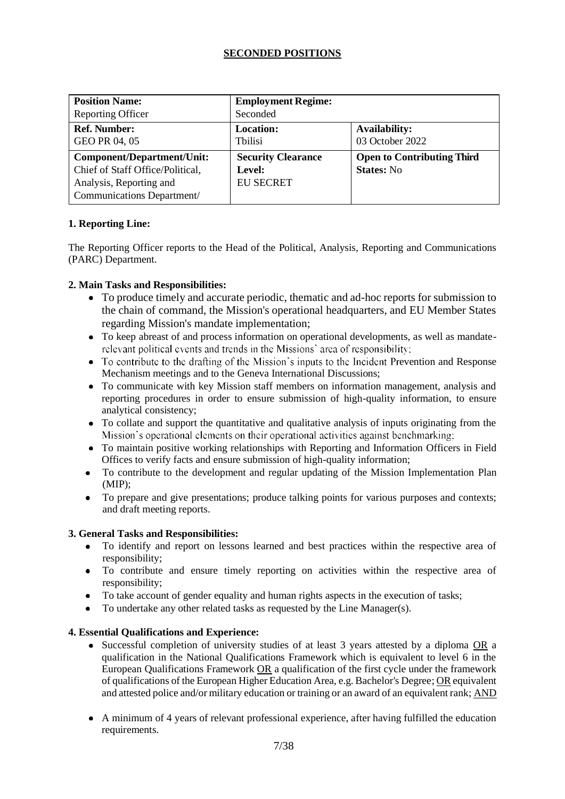# **SECONDED POSITIONS**

| <b>Position Name:</b>                                                                                                          | <b>Employment Regime:</b>                               |                                                        |
|--------------------------------------------------------------------------------------------------------------------------------|---------------------------------------------------------|--------------------------------------------------------|
| <b>Reporting Officer</b>                                                                                                       | Seconded                                                |                                                        |
| <b>Ref. Number:</b><br>GEO PR 04, 05                                                                                           | <b>Location:</b><br><b>Thilisi</b>                      | <b>Availability:</b><br>03 October 2022                |
| <b>Component/Department/Unit:</b><br>Chief of Staff Office/Political,<br>Analysis, Reporting and<br>Communications Department/ | <b>Security Clearance</b><br>Level:<br><b>EU SECRET</b> | <b>Open to Contributing Third</b><br><b>States: No</b> |

# **1. Reporting Line:**

The Reporting Officer reports to the Head of the Political, Analysis, Reporting and Communications (PARC) Department.

# **2. Main Tasks and Responsibilities:**

- To produce timely and accurate periodic, thematic and ad-hoc reports for submission to the chain of command, the Mission's operational headquarters, and EU Member States regarding Mission's mandate implementation;
- To keep abreast of and process information on operational developments, as well as mandate-<br>relevant political events and trends in the Missions' area of responsibility:
- To contribute to the drafting of the Mission's inputs to the Incident Prevention and Response Mechanism meetings and to the Geneva International Discussions;
- To communicate with key Mission staff members on information management, analysis and reporting procedures in order to ensure submission of high-quality information, to ensure analytical consistency;
- To collate and support the quantitative and qualitative analysis of inputs originating from the Mission's operational elements on their operational activities against benchmarking;
- To maintain positive working relationships with Reporting and Information Officers in Field Offices to verify facts and ensure submission of high-quality information;
- To contribute to the development and regular updating of the Mission Implementation Plan (MIP);
- To prepare and give presentations; produce talking points for various purposes and contexts; and draft meeting reports.

### **3. General Tasks and Responsibilities:**

- To identify and report on lessons learned and best practices within the respective area of  $\bullet$ responsibility;
- To contribute and ensure timely reporting on activities within the respective area of responsibility;
- To take account of gender equality and human rights aspects in the execution of tasks;
- To undertake any other related tasks as requested by the Line Manager(s).

### **4. Essential Qualifications and Experience:**

- Successful completion of university studies of at least 3 years attested by a diploma OR a qualification in the National Qualifications Framework which is equivalent to level 6 in the European Qualifications Framework  $OR$  a qualification of the first cycle under the framework of qualifications of the European Higher Education Area, e.g. Bachelor's Degree; OR equivalent and attested police and/or military education or training or an award of an equivalent rank; AND
- A minimum of 4 years of relevant professional experience, after having fulfilled the education requirements.